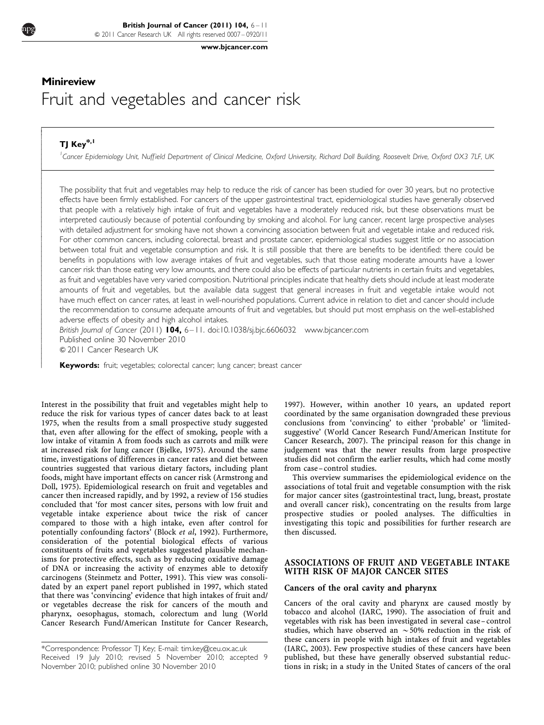[www.bjcancer.com](http://www.bjcancer.com)

# **Minireview** Fruit and vegetables and cancer risk

# TJ Key\*,1

---------1 ------------------------------------

<sup>I</sup> Cancer Epidemiology Unit, Nuffield Department of Clinical Medicine, Oxford University, Richard Doll Building, Roosevelt Drive, Oxford OX3 7LF, UK

The possibility that fruit and vegetables may help to reduce the risk of cancer has been studied for over 30 years, but no protective effects have been firmly established. For cancers of the upper gastrointestinal tract, epidemiological studies have generally observed that people with a relatively high intake of fruit and vegetables have a moderately reduced risk, but these observations must be interpreted cautiously because of potential confounding by smoking and alcohol. For lung cancer, recent large prospective analyses with detailed adjustment for smoking have not shown a convincing association between fruit and vegetable intake and reduced risk. For other common cancers, including colorectal, breast and prostate cancer, epidemiological studies suggest little or no association between total fruit and vegetable consumption and risk. It is still possible that there are benefits to be identified: there could be benefits in populations with low average intakes of fruit and vegetables, such that those eating moderate amounts have a lower cancer risk than those eating very low amounts, and there could also be effects of particular nutrients in certain fruits and vegetables, as fruit and vegetables have very varied composition. Nutritional principles indicate that healthy diets should include at least moderate amounts of fruit and vegetables, but the available data suggest that general increases in fruit and vegetable intake would not have much effect on cancer rates, at least in well-nourished populations. Current advice in relation to diet and cancer should include the recommendation to consume adequate amounts of fruit and vegetables, but should put most emphasis on the well-established adverse effects of obesity and high alcohol intakes.

British Journal of Cancer (2011) 104, 6-11. doi:[10.1038/sj.bjc.6606032](http://dx.doi.org/10.1038/sj.bjc.6606032) [www.bjcancer.com](http://www.bjcancer.com) Published online 30 November 2010

& 2011 Cancer Research UK

Keywords: fruit; vegetables; colorectal cancer; lung cancer; breast cancer

Interest in the possibility that fruit and vegetables might help to reduce the risk for various types of cancer dates back to at least 1975, when the results from a small prospective study suggested that, even after allowing for the effect of smoking, people with a low intake of vitamin A from foods such as carrots and milk were at increased risk for lung cancer ([Bjelke, 1975\)](#page-4-0). Around the same time, investigations of differences in cancer rates and diet between countries suggested that various dietary factors, including plant foods, might have important effects on cancer risk ([Armstrong and](#page-4-0) [Doll, 1975](#page-4-0)). Epidemiological research on fruit and vegetables and cancer then increased rapidly, and by 1992, a review of 156 studies concluded that 'for most cancer sites, persons with low fruit and vegetable intake experience about twice the risk of cancer compared to those with a high intake, even after control for potentially confounding factors' (Block et al[, 1992](#page-4-0)). Furthermore, consideration of the potential biological effects of various constituents of fruits and vegetables suggested plausible mechanisms for protective effects, such as by reducing oxidative damage of DNA or increasing the activity of enzymes able to detoxify carcinogens [\(Steinmetz and Potter, 1991](#page-5-0)). This view was consolidated by an expert panel report published in 1997, which stated that there was 'convincing' evidence that high intakes of fruit and/ or vegetables decrease the risk for cancers of the mouth and pharynx, oesophagus, stomach, colorectum and lung ([World](#page-5-0) [Cancer Research Fund/American Institute for Cancer Research,](#page-5-0) [1997\)](#page-5-0). However, within another 10 years, an updated report coordinated by the same organisation downgraded these previous conclusions from 'convincing' to either 'probable' or 'limitedsuggestive' [\(World Cancer Research Fund/American Institute for](#page-5-0) [Cancer Research, 2007](#page-5-0)). The principal reason for this change in judgement was that the newer results from large prospective studies did not confirm the earlier results, which had come mostly from case– control studies.

This overview summarises the epidemiological evidence on the associations of total fruit and vegetable consumption with the risk for major cancer sites (gastrointestinal tract, lung, breast, prostate and overall cancer risk), concentrating on the results from large prospective studies or pooled analyses. The difficulties in investigating this topic and possibilities for further research are then discussed.

# ASSOCIATIONS OF FRUIT AND VEGETABLE INTAKE WITH RISK OF MAJOR CANCER SITES

#### Cancers of the oral cavity and pharynx

Cancers of the oral cavity and pharynx are caused mostly by tobacco and alcohol ([IARC, 1990](#page-4-0)). The association of fruit and vegetables with risk has been investigated in several case– control studies, which have observed an  $\sim$  50% reduction in the risk of these cancers in people with high intakes of fruit and vegetables ([IARC, 2003](#page-4-0)). Few prospective studies of these cancers have been published, but these have generally observed substantial reductions in risk; in a study in the United States of cancers of the oral

Received 19 July 2010; revised 5 November 2010; accepted 9 November 2010; published online 30 November 2010 \*Correspondence: Professor TJ Key; E-mail: [tim.key@ceu.ox.ac.uk](mailto:tim.key@ceu.ox.ac.uk)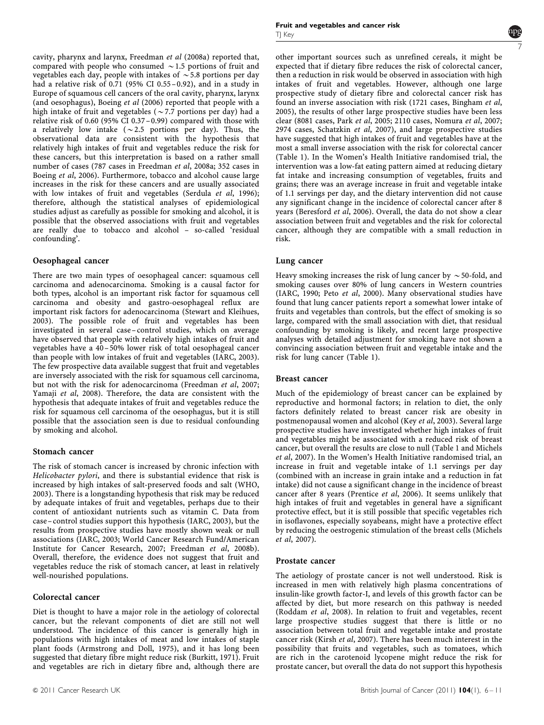cavity, pharynx and larynx, [Freedman](#page-4-0) et al (2008a) reported that, compared with people who consumed  $\sim$  1.5 portions of fruit and vegetables each day, people with intakes of  $\sim$  5.8 portions per day had a relative risk of 0.71 (95% CI 0.55–0.92), and in a study in Europe of squamous cell cancers of the oral cavity, pharynx, larynx (and oesophagus), [Boeing](#page-4-0) et al (2006) reported that people with a high intake of fruit and vegetables ( $\sim$  7.7 portions per day) had a relative risk of 0.60 (95% CI 0.37–0.99) compared with those with a relatively low intake ( $\sim$ 2.5 portions per day). Thus, the observational data are consistent with the hypothesis that relatively high intakes of fruit and vegetables reduce the risk for these cancers, but this interpretation is based on a rather small number of cases (787 cases in [Freedman](#page-4-0) et al, 2008a; 352 cases in [Boeing](#page-4-0) et al, 2006). Furthermore, tobacco and alcohol cause large increases in the risk for these cancers and are usually associated with low intakes of fruit and vegetables [\(Serdula](#page-5-0) et al, 1996); therefore, although the statistical analyses of epidemiological studies adjust as carefully as possible for smoking and alcohol, it is possible that the observed associations with fruit and vegetables are really due to tobacco and alcohol – so-called 'residual confounding'.

#### Oesophageal cancer

There are two main types of oesophageal cancer: squamous cell carcinoma and adenocarcinoma. Smoking is a causal factor for both types, alcohol is an important risk factor for squamous cell carcinoma and obesity and gastro-oesophageal reflux are important risk factors for adenocarcinoma ([Stewart and Kleihues,](#page-5-0) [2003](#page-5-0)). The possible role of fruit and vegetables has been investigated in several case– control studies, which on average have observed that people with relatively high intakes of fruit and vegetables have a 40–50% lower risk of total oesophageal cancer than people with low intakes of fruit and vegetables [\(IARC, 2003\)](#page-4-0). The few prospective data available suggest that fruit and vegetables are inversely associated with the risk for squamous cell carcinoma, but not with the risk for adenocarcinoma ([Freedman](#page-4-0) et al, 2007; [Yamaji](#page-5-0) et al, 2008). Therefore, the data are consistent with the hypothesis that adequate intakes of fruit and vegetables reduce the risk for squamous cell carcinoma of the oesophagus, but it is still possible that the association seen is due to residual confounding by smoking and alcohol.

#### Stomach cancer

The risk of stomach cancer is increased by chronic infection with Helicobacter pylori, and there is substantial evidence that risk is increased by high intakes of salt-preserved foods and salt [\(WHO,](#page-5-0) [2003](#page-5-0)). There is a longstanding hypothesis that risk may be reduced by adequate intakes of fruit and vegetables, perhaps due to their content of antioxidant nutrients such as vitamin C. Data from case–control studies support this hypothesis [\(IARC, 2003\)](#page-4-0), but the results from prospective studies have mostly shown weak or null associations ([IARC, 2003](#page-4-0); [World Cancer Research Fund/American](#page-5-0) [Institute for Cancer Research, 2007;](#page-5-0) [Freedman](#page-4-0) et al, 2008b). Overall, therefore, the evidence does not suggest that fruit and vegetables reduce the risk of stomach cancer, at least in relatively well-nourished populations.

# Colorectal cancer

Diet is thought to have a major role in the aetiology of colorectal cancer, but the relevant components of diet are still not well understood. The incidence of this cancer is generally high in populations with high intakes of meat and low intakes of staple plant foods ([Armstrong and Doll, 1975](#page-4-0)), and it has long been suggested that dietary fibre might reduce risk ([Burkitt, 1971\)](#page-4-0). Fruit and vegetables are rich in dietary fibre and, although there are



other important sources such as unrefined cereals, it might be expected that if dietary fibre reduces the risk of colorectal cancer, then a reduction in risk would be observed in association with high intakes of fruit and vegetables. However, although one large prospective study of dietary fibre and colorectal cancer risk has found an inverse association with risk (1721 cases, [Bingham](#page-4-0) et al, [2005](#page-4-0)), the results of other large prospective studies have been less clear (8081 cases, Park et al[, 2005](#page-5-0); 2110 cases, [Nomura](#page-5-0) et al, 2007; 2974 cases, [Schatzkin](#page-5-0) et al, 2007), and large prospective studies have suggested that high intakes of fruit and vegetables have at the most a small inverse association with the risk for colorectal cancer [\(Table 1](#page-2-0)). In the Women's Health Initiative randomised trial, the intervention was a low-fat eating pattern aimed at reducing dietary fat intake and increasing consumption of vegetables, fruits and grains; there was an average increase in fruit and vegetable intake of 1.1 servings per day, and the dietary intervention did not cause any significant change in the incidence of colorectal cancer after 8 years [\(Beresford](#page-4-0) et al, 2006). Overall, the data do not show a clear association between fruit and vegetables and the risk for colorectal cancer, although they are compatible with a small reduction in risk.

# Lung cancer

Heavy smoking increases the risk of lung cancer by  $\sim$  50-fold, and smoking causes over 80% of lung cancers in Western countries [\(IARC, 1990;](#page-4-0) Peto et al[, 2000](#page-5-0)). Many observational studies have found that lung cancer patients report a somewhat lower intake of fruits and vegetables than controls, but the effect of smoking is so large, compared with the small association with diet, that residual confounding by smoking is likely, and recent large prospective analyses with detailed adjustment for smoking have not shown a convincing association between fruit and vegetable intake and the risk for lung cancer ([Table 1\)](#page-2-0).

#### Breast cancer

Much of the epidemiology of breast cancer can be explained by reproductive and hormonal factors; in relation to diet, the only factors definitely related to breast cancer risk are obesity in postmenopausal women and alcohol (Key et al[, 2003\)](#page-5-0). Several large prospective studies have investigated whether high intakes of fruit and vegetables might be associated with a reduced risk of breast cancer, but overall the results are close to null [\(Table 1](#page-2-0) and [Michels](#page-5-0) et al[, 2007](#page-5-0)). In the Women's Health Initiative randomised trial, an increase in fruit and vegetable intake of 1.1 servings per day (combined with an increase in grain intake and a reduction in fat intake) did not cause a significant change in the incidence of breast cancer after 8 years ([Prentice](#page-5-0) et al, 2006). It seems unlikely that high intakes of fruit and vegetables in general have a significant protective effect, but it is still possible that specific vegetables rich in isoflavones, especially soyabeans, might have a protective effect by reducing the oestrogenic stimulation of the breast cells [\(Michels](#page-5-0) et al[, 2007\)](#page-5-0).

# Prostate cancer

The aetiology of prostate cancer is not well understood. Risk is increased in men with relatively high plasma concentrations of insulin-like growth factor-I, and levels of this growth factor can be affected by diet, but more research on this pathway is needed [\(Roddam](#page-5-0) et al, 2008). In relation to fruit and vegetables, recent large prospective studies suggest that there is little or no association between total fruit and vegetable intake and prostate cancer risk (Kirsh et al[, 2007\)](#page-5-0). There has been much interest in the possibility that fruits and vegetables, such as tomatoes, which are rich in the carotenoid lycopene might reduce the risk for prostate cancer, but overall the data do not support this hypothesis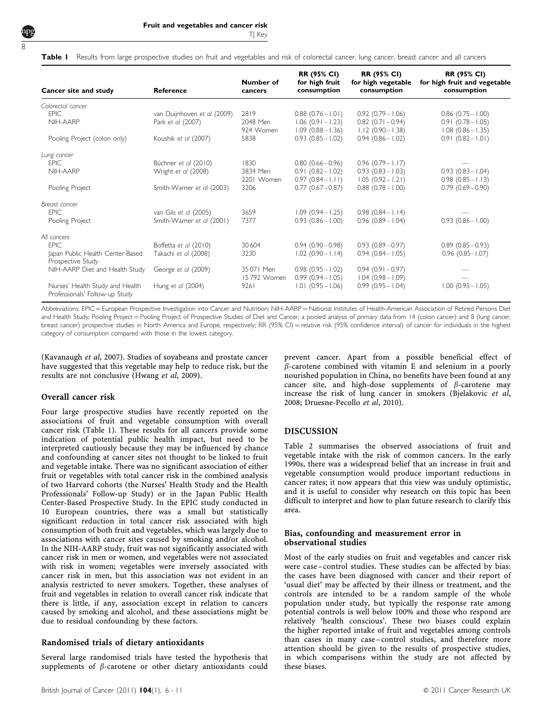Fruit and vegetables and cancer risk

TI Key

<span id="page-2-0"></span>

Table I Results from large prospective studies on fruit and vegetables and risk of colorectal cancer, lung cancer, breast cancer and all cancers

| Cancer site and study                                             | Reference                   | Number of<br>cancers | <b>RR (95% CI)</b><br>for high fruit<br>consumption | <b>RR (95% CI)</b><br>for high vegetable<br>consumption | <b>RR (95% CI)</b><br>for high fruit and vegetable<br>consumption |
|-------------------------------------------------------------------|-----------------------------|----------------------|-----------------------------------------------------|---------------------------------------------------------|-------------------------------------------------------------------|
| Colorectal cancer                                                 |                             |                      |                                                     |                                                         |                                                                   |
| <b>EPIC</b>                                                       | van Duijnhoven et al (2009) | 2819                 | $0.88$ $(0.76 - 1.01)$                              | $0.92(0.79 - 1.06)$                                     | $0.86$ $(0.75 - 1.00)$                                            |
| NIH-AARP                                                          | Park et al (2007)           | 2048 Men             | $1.06$ (0.91 - 1.23)                                | $0.82(0.71 - 0.94)$                                     | $0.91(0.78 - 1.05)$                                               |
|                                                                   |                             | 924 Women            | $1.09$ $(0.88 - 1.36)$                              | $1.12(0.90 - 1.38)$                                     | $1.08$ $(0.86 - 1.35)$                                            |
| Pooling Project (colon only)                                      | Koushik et al (2007)        | 5838                 | $0.93(0.85 - 1.02)$                                 | $0.94(0.86 - 1.02)$                                     | $0.91(0.82 - 1.01)$                                               |
| Lung cancer                                                       |                             |                      |                                                     |                                                         |                                                                   |
| <b>EPIC</b>                                                       | Büchner et al (2010)        | 1830                 | $0.80(0.66 - 0.96)$                                 | $0.96$ (0.79 - 1.17)                                    |                                                                   |
| NIH-AARP                                                          | Wright et al (2008)         | 3834 Men             | $0.91(0.82 - 1.02)$                                 | $0.93(0.83 - 1.03)$                                     | $0.93$ $(0.83 - 1.04)$                                            |
|                                                                   |                             | 2201 Women           | $0.97(0.84 - 1.11)$                                 | $1.05(0.92 - 1.21)$                                     | $0.98(0.85 - 1.13)$                                               |
| Pooling Project                                                   | Smith-Warner et al (2003)   | 3206                 | $0.77(0.67 - 0.87)$                                 | $0.88$ $(0.78 - 1.00)$                                  | $0.79(0.69 - 0.90)$                                               |
| Breast cancer                                                     |                             |                      |                                                     |                                                         |                                                                   |
| <b>EPIC</b>                                                       | van Gils et al (2005)       | 3659                 | $1.09(0.94 - 1.25)$                                 | $0.98$ $(0.84 - 1.14)$                                  |                                                                   |
| Pooling Project                                                   | Smith-Warner et al (2001)   | 7377                 | $0.93(0.86 - 1.00)$                                 | $0.96(0.89 - 1.04)$                                     | $0.93(0.86 - 1.00)$                                               |
| All cancers                                                       |                             |                      |                                                     |                                                         |                                                                   |
| EPIC                                                              | Boffetta et al (2010)       | 30604                | $0.94(0.90 - 0.98)$                                 | $0.93(0.89 - 0.97)$                                     | $0.89$ $(0.85 - 0.93)$                                            |
| Japan Public Health Center-Based<br>Prospective Study             | Takachi et al (2008)        | 3230                 | $1.02$ (0.90 - 1.14)                                | $0.94(0.84 - 1.05)$                                     | $0.96(0.85 - 1.07)$                                               |
| NIH-AARP Diet and Health Study                                    | George et al (2009)         | 35 071 Men           | $0.98(0.95 - 1.02)$                                 | $0.94(0.91 - 0.97)$                                     |                                                                   |
|                                                                   |                             | 15792 Women          | $0.99(0.94 - 1.05)$                                 | $1.04(0.98 - 1.09)$                                     |                                                                   |
| Nurses' Health Study and Health<br>Professionals' Follow-up Study | Hung et al (2004)           | 9261                 | $1.01(0.95 - 1.06)$                                 | $0.99(0.95 - 1.04)$                                     | $1.00$ (0.95 - 1.05)                                              |

Abbreviations: EPIC = European Prospective Investigation into Cancer and Nutrition; NIH-AARP = National Institutes of Health-American Association of Retired Persons Diet and Health Study; Pooling Project = Pooling Project of Prospective Studies of Diet and Cancer, a pooled analysis of primary data from 14 (colon cancer) and 8 (lung cancer, breast cancer) prospective studies in North America and Europe, respectively; RR (95% CI) = relative risk (95% confidence interval) of cancer for individuals in the highest category of consumption compared with those in the lowest category.

([Kavanaugh](#page-4-0) et al, 2007). Studies of soyabeans and prostate cancer have suggested that this vegetable may help to reduce risk, but the results are not conclusive ([Hwang](#page-4-0) et al, 2009).

# Overall cancer risk

Four large prospective studies have recently reported on the associations of fruit and vegetable consumption with overall cancer risk (Table 1). These results for all cancers provide some indication of potential public health impact, but need to be interpreted cautiously because they may be influenced by chance and confounding at cancer sites not thought to be linked to fruit and vegetable intake. There was no significant association of either fruit or vegetables with total cancer risk in the combined analysis of two Harvard cohorts (the Nurses' Health Study and the Health Professionals' Follow-up Study) or in the Japan Public Health Center-Based Prospective Study. In the EPIC study conducted in 10 European countries, there was a small but statistically significant reduction in total cancer risk associated with high consumption of both fruit and vegetables, which was largely due to associations with cancer sites caused by smoking and/or alcohol. In the NIH-AARP study, fruit was not significantly associated with cancer risk in men or women, and vegetables were not associated with risk in women; vegetables were inversely associated with cancer risk in men, but this association was not evident in an analysis restricted to never smokers. Together, these analyses of fruit and vegetables in relation to overall cancer risk indicate that there is little, if any, association except in relation to cancers caused by smoking and alcohol, and these associations might be due to residual confounding by these factors.

# Randomised trials of dietary antioxidants

Several large randomised trials have tested the hypothesis that supplements of  $\beta$ -carotene or other dietary antioxidants could prevent cancer. Apart from a possible beneficial effect of  $\beta$ -carotene combined with vitamin E and selenium in a poorly nourished population in China, no benefits have been found at any cancer site, and high-dose supplements of  $\beta$ -carotene may increase the risk of lung cancer in smokers ([Bjelakovic](#page-4-0) et al, [2008; Druesne-Pecollo](#page-4-0) et al, 2010).

# DISCUSSION

[Table 2](#page-3-0) summarises the observed associations of fruit and vegetable intake with the risk of common cancers. In the early 1990s, there was a widespread belief that an increase in fruit and vegetable consumption would produce important reductions in cancer rates; it now appears that this view was unduly optimistic, and it is useful to consider why research on this topic has been difficult to interpret and how to plan future research to clarify this area.

#### Bias, confounding and measurement error in observational studies

Most of the early studies on fruit and vegetables and cancer risk were case–control studies. These studies can be affected by bias: the cases have been diagnosed with cancer and their report of 'usual diet' may be affected by their illness or treatment, and the controls are intended to be a random sample of the whole population under study, but typically the response rate among potential controls is well below 100% and those who respond are relatively 'health conscious'. These two biases could explain the higher reported intake of fruit and vegetables among controls than cases in many case–control studies, and therefore more attention should be given to the results of prospective studies, in which comparisons within the study are not affected by these biases.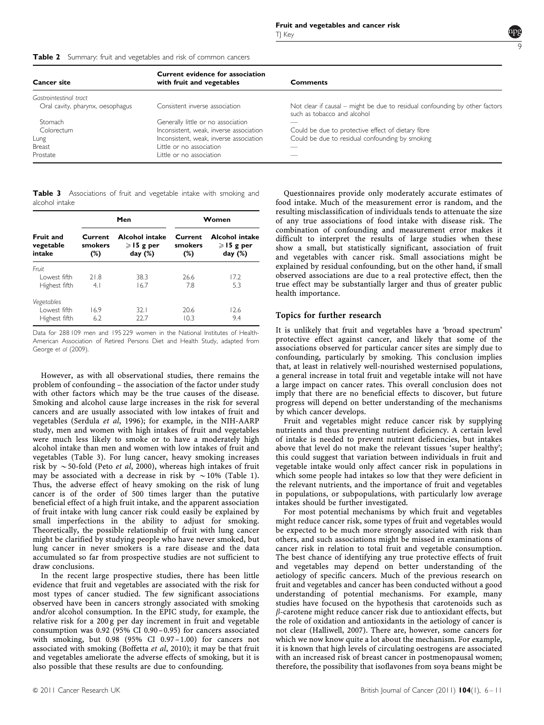<span id="page-3-0"></span>

| <b>Cancer site</b>               | Current evidence for association<br>with fruit and vegetables | <b>Comments</b>                                                                                            |  |  |
|----------------------------------|---------------------------------------------------------------|------------------------------------------------------------------------------------------------------------|--|--|
| Gastrointestinal tract           |                                                               |                                                                                                            |  |  |
| Oral cavity, pharynx, oesophagus | Consistent inverse association                                | Not clear if causal – might be due to residual confounding by other factors<br>such as tobacco and alcohol |  |  |
| Stomach                          | Generally little or no association                            |                                                                                                            |  |  |
| Colorectum                       | Inconsistent, weak, inverse association                       | Could be due to protective effect of dietary fibre                                                         |  |  |
| Lung                             | Inconsistent, weak, inverse association                       | Could be due to residual confounding by smoking                                                            |  |  |
| Breast                           | Little or no association                                      |                                                                                                            |  |  |
| Prostate                         | Little or no association                                      |                                                                                                            |  |  |

Table 3 Associations of fruit and vegetable intake with smoking and alcohol intake

|                                         |                              | Men                                                  | Women                        |                                                      |  |
|-----------------------------------------|------------------------------|------------------------------------------------------|------------------------------|------------------------------------------------------|--|
| <b>Fruit and</b><br>vegetable<br>intake | Current<br>smokers<br>$(\%)$ | Alcohol intake<br>$\geqslant$ 15 g per<br>day $(\%)$ | Current<br>smokers<br>$(\%)$ | Alcohol intake<br>$\geqslant$ 15 g per<br>day $(\%)$ |  |
| Fruit                                   |                              |                                                      |                              |                                                      |  |
| I owest fifth                           | 718                          | 38.3                                                 | 266                          | 17.2                                                 |  |
| Highest fifth                           | 4.1                          | 16.7                                                 | 78                           | 5.3                                                  |  |
| Vegetables                              |                              |                                                      |                              |                                                      |  |
| I owest fifth                           | 16.9                         | 32.1                                                 | 20.6                         | 12.6                                                 |  |
| Highest fifth                           | 6.2                          | 22.7                                                 | 10.3                         | 9.4                                                  |  |

Data for 288 109 men and 195 229 women in the National Institutes of Health-American Association of Retired Persons Diet and Health Study, adapted from [George](#page-4-0) et al (2009).

However, as with all observational studies, there remains the problem of confounding – the association of the factor under study with other factors which may be the true causes of the disease. Smoking and alcohol cause large increases in the risk for several cancers and are usually associated with low intakes of fruit and vegetables [\(Serdula](#page-5-0) et al, 1996); for example, in the NIH-AARP study, men and women with high intakes of fruit and vegetables were much less likely to smoke or to have a moderately high alcohol intake than men and women with low intakes of fruit and vegetables (Table 3). For lung cancer, heavy smoking increases risk by  $\sim$  50-fold (Peto *et al*[, 2000](#page-5-0)), whereas high intakes of fruit may be associated with a decrease in risk by  $\sim$  10% ([Table 1\)](#page-2-0). Thus, the adverse effect of heavy smoking on the risk of lung cancer is of the order of 500 times larger than the putative beneficial effect of a high fruit intake, and the apparent association of fruit intake with lung cancer risk could easily be explained by small imperfections in the ability to adjust for smoking. Theoretically, the possible relationship of fruit with lung cancer might be clarified by studying people who have never smoked, but lung cancer in never smokers is a rare disease and the data accumulated so far from prospective studies are not sufficient to draw conclusions.

In the recent large prospective studies, there has been little evidence that fruit and vegetables are associated with the risk for most types of cancer studied. The few significant associations observed have been in cancers strongly associated with smoking and/or alcohol consumption. In the EPIC study, for example, the relative risk for a 200 g per day increment in fruit and vegetable consumption was 0.92 (95% CI 0.90–0.95) for cancers associated with smoking, but  $0.98$  (95% CI  $0.97-1.00$ ) for cancers not associated with smoking ([Boffetta](#page-4-0) et al, 2010); it may be that fruit and vegetables ameliorate the adverse effects of smoking, but it is also possible that these results are due to confounding.

Questionnaires provide only moderately accurate estimates of food intake. Much of the measurement error is random, and the resulting misclassification of individuals tends to attenuate the size of any true associations of food intake with disease risk. The combination of confounding and measurement error makes it difficult to interpret the results of large studies when these show a small, but statistically significant, association of fruit and vegetables with cancer risk. Small associations might be explained by residual confounding, but on the other hand, if small observed associations are due to a real protective effect, then the true effect may be substantially larger and thus of greater public health importance.

#### Topics for further research

It is unlikely that fruit and vegetables have a 'broad spectrum' protective effect against cancer, and likely that some of the associations observed for particular cancer sites are simply due to confounding, particularly by smoking. This conclusion implies that, at least in relatively well-nourished westernised populations, a general increase in total fruit and vegetable intake will not have a large impact on cancer rates. This overall conclusion does not imply that there are no beneficial effects to discover, but future progress will depend on better understanding of the mechanisms by which cancer develops.

Fruit and vegetables might reduce cancer risk by supplying nutrients and thus preventing nutrient deficiency. A certain level of intake is needed to prevent nutrient deficiencies, but intakes above that level do not make the relevant tissues 'super healthy'; this could suggest that variation between individuals in fruit and vegetable intake would only affect cancer risk in populations in which some people had intakes so low that they were deficient in the relevant nutrients, and the importance of fruit and vegetables in populations, or subpopulations, with particularly low average intakes should be further investigated.

For most potential mechanisms by which fruit and vegetables might reduce cancer risk, some types of fruit and vegetables would be expected to be much more strongly associated with risk than others, and such associations might be missed in examinations of cancer risk in relation to total fruit and vegetable consumption. The best chance of identifying any true protective effects of fruit and vegetables may depend on better understanding of the aetiology of specific cancers. Much of the previous research on fruit and vegetables and cancer has been conducted without a good understanding of potential mechanisms. For example, many studies have focused on the hypothesis that carotenoids such as  $\beta$ -carotene might reduce cancer risk due to antioxidant effects, but the role of oxidation and antioxidants in the aetiology of cancer is not clear [\(Halliwell, 2007](#page-4-0)). There are, however, some cancers for which we now know quite a lot about the mechanism. For example, it is known that high levels of circulating oestrogens are associated with an increased risk of breast cancer in postmenopausal women; therefore, the possibility that isoflavones from soya beans might be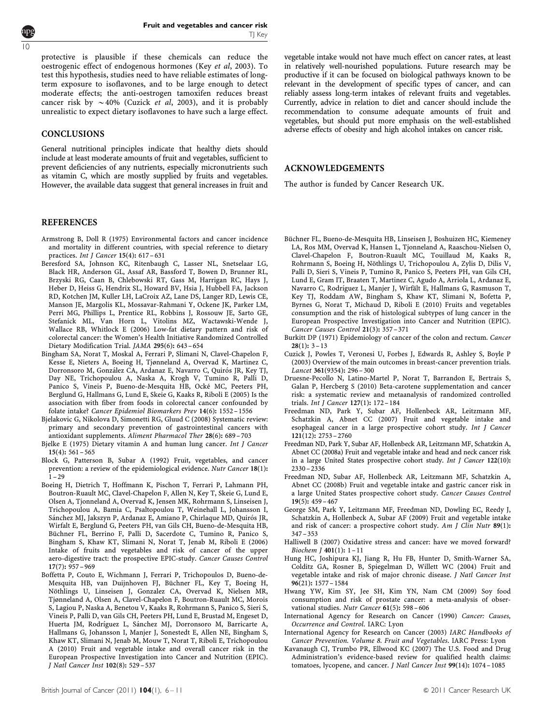<span id="page-4-0"></span>protective is plausible if these chemicals can reduce the oestrogenic effect of endogenous hormones (Key et al[, 2003\)](#page-5-0). To test this hypothesis, studies need to have reliable estimates of longterm exposure to isoflavones, and to be large enough to detect moderate effects; the anti-oestrogen tamoxifen reduces breast cancer risk by  $\sim$  40% (Cuzick et al, 2003), and it is probably unrealistic to expect dietary isoflavones to have such a large effect.

### **CONCLUSIONS**

General nutritional principles indicate that healthy diets should include at least moderate amounts of fruit and vegetables, sufficient to prevent deficiencies of any nutrients, especially micronutrients such as vitamin C, which are mostly supplied by fruits and vegetables. However, the available data suggest that general increases in fruit and

#### REFERENCES

- Armstrong B, Doll R (1975) Environmental factors and cancer incidence and mortality in different countries, with special reference to dietary practices. Int J Cancer 15(4): 617-631
- Beresford SA, Johnson KC, Ritenbaugh C, Lasser NL, Snetselaar LG, Black HR, Anderson GL, Assaf AR, Bassford T, Bowen D, Brunner RL, Brzyski RG, Caan B, Chlebowski RT, Gass M, Harrigan RC, Hays J, Heber D, Heiss G, Hendrix SL, Howard BV, Hsia J, Hubbell FA, Jackson RD, Kotchen JM, Kuller LH, LaCroix AZ, Lane DS, Langer RD, Lewis CE, Manson JE, Margolis KL, Mossavar-Rahmani Y, Ockene JK, Parker LM, Perri MG, Phillips L, Prentice RL, Robbins J, Rossouw JE, Sarto GE, Stefanick ML, Van Horn L, Vitolins MZ, Wactawski-Wende J, Wallace RB, Whitlock E (2006) Low-fat dietary pattern and risk of colorectal cancer: the Women's Health Initiative Randomized Controlled Dietary Modification Trial. JAMA 295(6): 643 – 654
- Bingham SA, Norat T, Moskal A, Ferrari P, Slimani N, Clavel-Chapelon F, Kesse E, Nieters A, Boeing H, Tjønneland A, Overvad K, Martinez C, Dorronsoro M, González CA, Ardanaz E, Navarro C, Quirós JR, Key TJ, Day NE, Trichopoulou A, Naska A, Krogh V, Tumino R, Palli D, Panico S, Vineis P, Bueno-de-Mesquita HB, Ocké MC, Peeters PH, Berglund G, Hallmans G, Lund E, Skeie G, Kaaks R, Riboli E (2005) Is the association with fiber from foods in colorectal cancer confounded by folate intake? Cancer Epidemiol Biomarkers Prev 14(6): 1552 – 1556
- Bjelakovic G, Nikolova D, Simonetti RG, Gluud C (2008) Systematic review: primary and secondary prevention of gastrointestinal cancers with antioxidant supplements. Aliment Pharmacol Ther 28(6): 689 – 703
- Bjelke E (1975) Dietary vitamin A and human lung cancer. Int J Cancer  $15(4): 561 - 565$
- Block G, Patterson B, Subar A (1992) Fruit, vegetables, and cancer prevention: a review of the epidemiological evidence. Nutr Cancer 18(1):  $1 - 29$
- Boeing H, Dietrich T, Hoffmann K, Pischon T, Ferrari P, Lahmann PH, Boutron-Ruault MC, Clavel-Chapelon F, Allen N, Key T, Skeie G, Lund E, Olsen A, Tjonneland A, Overvad K, Jensen MK, Rohrmann S, Linseisen J, Trichopoulou A, Bamia C, Psaltopoulou T, Weinehall L, Johansson I, Sánchez MJ, Jakszyn P, Ardanaz E, Amiano P, Chirlaque MD, Quirós JR, Wirfalt E, Berglund G, Peeters PH, van Gils CH, Bueno-de-Mesquita HB, Büchner FL, Berrino F, Palli D, Sacerdote C, Tumino R, Panico S, Bingham S, Khaw KT, Slimani N, Norat T, Jenab M, Riboli E (2006) Intake of fruits and vegetables and risk of cancer of the upper aero-digestive tract: the prospective EPIC-study. Cancer Causes Control 17(7): 957 – 969
- Boffetta P, Couto E, Wichmann J, Ferrari P, Trichopoulos D, Bueno-de-Mesquita HB, van Duijnhoven FJ, Büchner FL, Key T, Boeing H, Nöthlings U, Linseisen J, Gonzalez CA, Overvad K, Nielsen MR, Tjønneland A, Olsen A, Clavel-Chapelon F, Boutron-Ruault MC, Morois S, Lagiou P, Naska A, Benetou V, Kaaks R, Rohrmann S, Panico S, Sieri S, Vineis P, Palli D, van Gils CH, Peeters PH, Lund E, Brustad M, Engeset D, Huerta JM, Rodríguez L, Sánchez MJ, Dorronsoro M, Barricarte A, Hallmans G, Johansson I, Manjer J, Sonestedt E, Allen NE, Bingham S, Khaw KT, Slimani N, Jenab M, Mouw T, Norat T, Riboli E, Trichopoulou A (2010) Fruit and vegetable intake and overall cancer risk in the European Prospective Investigation into Cancer and Nutrition (EPIC). J Natl Cancer Inst 102(8): 529 – 537

vegetable intake would not have much effect on cancer rates, at least in relatively well-nourished populations. Future research may be productive if it can be focused on biological pathways known to be relevant in the development of specific types of cancer, and can reliably assess long-term intakes of relevant fruits and vegetables. Currently, advice in relation to diet and cancer should include the recommendation to consume adequate amounts of fruit and vegetables, but should put more emphasis on the well-established adverse effects of obesity and high alcohol intakes on cancer risk.

#### ACKNOWLEDGEMENTS

The author is funded by Cancer Research UK.

- Büchner FL, Bueno-de-Mesquita HB, Linseisen J, Boshuizen HC, Kiemeney LA, Ros MM, Overvad K, Hansen L, Tjonneland A, Raaschou-Nielsen O, Clavel-Chapelon F, Boutron-Ruault MC, Touillaud M, Kaaks R, Rohrmann S, Boeing H, Nöthlings U, Trichopoulou A, Zylis D, Dilis V, Palli D, Sieri S, Vineis P, Tumino R, Panico S, Peeters PH, van Gils CH, Lund E, Gram IT, Braaten T, Martinez C, Agudo A, Arriola L, Ardanaz E, Navarro C, Rodríguez L, Manjer J, Wirfält E, Hallmans G, Rasmuson T, Key TJ, Roddam AW, Bingham S, Khaw KT, Slimani N, Bofetta P, Byrnes G, Norat T, Michaud D, Riboli E (2010) Fruits and vegetables consumption and the risk of histological subtypes of lung cancer in the European Prospective Investigation into Cancer and Nutrition (EPIC). Cancer Causes Control 21(3): 357 – 371
- Burkitt DP (1971) Epidemiology of cancer of the colon and rectum. Cancer  $28(1): 3 - 13$
- Cuzick J, Powles T, Veronesi U, Forbes J, Edwards R, Ashley S, Boyle P (2003) Overview of the main outcomes in breast-cancer prevention trials. Lancet 361(9354): 296 – 300
- Druesne-Pecollo N, Latino-Martel P, Norat T, Barrandon E, Bertrais S, Galan P, Hercberg S (2010) Beta-carotene supplementation and cancer risk: a systematic review and metaanalysis of randomized controlled trials. Int J Cancer 127(1): 172 – 184
- Freedman ND, Park Y, Subar AF, Hollenbeck AR, Leitzmann MF, Schatzkin A, Abnet CC (2007) Fruit and vegetable intake and esophageal cancer in a large prospective cohort study. Int J Cancer 121(12): 2753 – 2760
- Freedman ND, Park Y, Subar AF, Hollenbeck AR, Leitzmann MF, Schatzkin A, Abnet CC (2008a) Fruit and vegetable intake and head and neck cancer risk in a large United States prospective cohort study. Int J Cancer 122(10): 2330 – 2336
- Freedman ND, Subar AF, Hollenbeck AR, Leitzmann MF, Schatzkin A, Abnet CC (2008b) Fruit and vegetable intake and gastric cancer risk in a large United States prospective cohort study. Cancer Causes Control 19(5): 459 – 467
- George SM, Park Y, Leitzmann MF, Freedman ND, Dowling EC, Reedy J, Schatzkin A, Hollenbeck A, Subar AF (2009) Fruit and vegetable intake and risk of cancer: a prospective cohort study. Am J Clin Nutr 89(1): 347 – 353
- Halliwell B (2007) Oxidative stress and cancer: have we moved forward? Biochem J 401(1): 1 – 11
- Hung HC, Joshipura KJ, Jiang R, Hu FB, Hunter D, Smith-Warner SA, Colditz GA, Rosner B, Spiegelman D, Willett WC (2004) Fruit and vegetable intake and risk of major chronic disease. J Natl Cancer Inst 96(21): 1577 – 1584
- Hwang YW, Kim SY, Jee SH, Kim YN, Nam CM (2009) Soy food consumption and risk of prostate cancer: a meta-analysis of observational studies. Nutr Cancer 61(5): 598-606
- International Agency for Research on Cancer (1990) Cancer: Causes, Occurrence and Control. IARC: Lyon
- International Agency for Research on Cancer (2003) IARC Handbooks of Cancer Prevention. Volume 8. Fruit and Vegetables. IARC Press: Lyon
- Kavanaugh CJ, Trumbo PR, Ellwood KC (2007) The U.S. Food and Drug Administration's evidence-based review for qualified health claims: tomatoes, lycopene, and cancer. J Natl Cancer Inst 99(14): 1074-1085